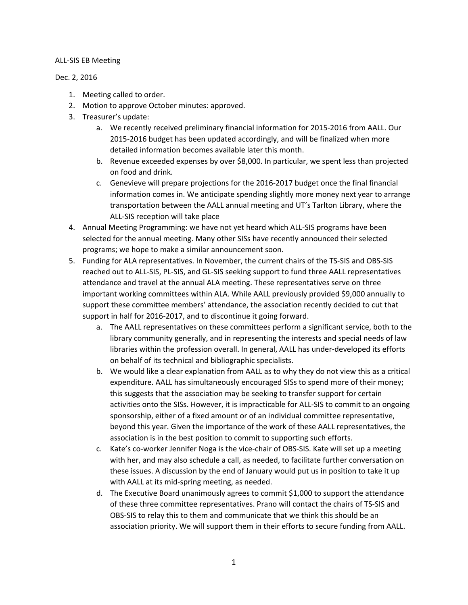## ALL-SIS EB Meeting

## Dec. 2, 2016

- 1. Meeting called to order.
- 2. Motion to approve October minutes: approved.
- 3. Treasurer's update:
	- a. We recently received preliminary financial information for 2015-2016 from AALL. Our 2015-2016 budget has been updated accordingly, and will be finalized when more detailed information becomes available later this month.
	- b. Revenue exceeded expenses by over \$8,000. In particular, we spent less than projected on food and drink.
	- c. Genevieve will prepare projections for the 2016-2017 budget once the final financial information comes in. We anticipate spending slightly more money next year to arrange transportation between the AALL annual meeting and UT's Tarlton Library, where the ALL-SIS reception will take place
- 4. Annual Meeting Programming: we have not yet heard which ALL-SIS programs have been selected for the annual meeting. Many other SISs have recently announced their selected programs; we hope to make a similar announcement soon.
- 5. Funding for ALA representatives. In November, the current chairs of the TS-SIS and OBS-SIS reached out to ALL-SIS, PL-SIS, and GL-SIS seeking support to fund three AALL representatives attendance and travel at the annual ALA meeting. These representatives serve on three important working committees within ALA. While AALL previously provided \$9,000 annually to support these committee members' attendance, the association recently decided to cut that support in half for 2016-2017, and to discontinue it going forward.
	- a. The AALL representatives on these committees perform a significant service, both to the library community generally, and in representing the interests and special needs of law libraries within the profession overall. In general, AALL has under-developed its efforts on behalf of its technical and bibliographic specialists.
	- b. We would like a clear explanation from AALL as to why they do not view this as a critical expenditure. AALL has simultaneously encouraged SISs to spend more of their money; this suggests that the association may be seeking to transfer support for certain activities onto the SISs. However, it is impracticable for ALL-SIS to commit to an ongoing sponsorship, either of a fixed amount or of an individual committee representative, beyond this year. Given the importance of the work of these AALL representatives, the association is in the best position to commit to supporting such efforts.
	- c. Kate's co-worker Jennifer Noga is the vice-chair of OBS-SIS. Kate will set up a meeting with her, and may also schedule a call, as needed, to facilitate further conversation on these issues. A discussion by the end of January would put us in position to take it up with AALL at its mid-spring meeting, as needed.
	- d. The Executive Board unanimously agrees to commit \$1,000 to support the attendance of these three committee representatives. Prano will contact the chairs of TS-SIS and OBS-SIS to relay this to them and communicate that we think this should be an association priority. We will support them in their efforts to secure funding from AALL.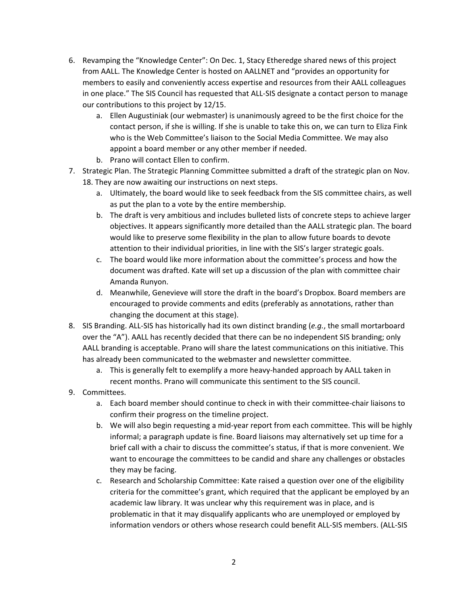- 6. Revamping the "Knowledge Center": On Dec. 1, Stacy Etheredge shared news of this project from AALL. The Knowledge Center is hosted on AALLNET and "provides an opportunity for members to easily and conveniently access expertise and resources from their AALL colleagues in one place." The SIS Council has requested that ALL-SIS designate a contact person to manage our contributions to this project by 12/15.
	- a. Ellen Augustiniak (our webmaster) is unanimously agreed to be the first choice for the contact person, if she is willing. If she is unable to take this on, we can turn to Eliza Fink who is the Web Committee's liaison to the Social Media Committee. We may also appoint a board member or any other member if needed.
	- b. Prano will contact Ellen to confirm.
- 7. Strategic Plan. The Strategic Planning Committee submitted a draft of the strategic plan on Nov. 18. They are now awaiting our instructions on next steps.
	- a. Ultimately, the board would like to seek feedback from the SIS committee chairs, as well as put the plan to a vote by the entire membership.
	- b. The draft is very ambitious and includes bulleted lists of concrete steps to achieve larger objectives. It appears significantly more detailed than the AALL strategic plan. The board would like to preserve some flexibility in the plan to allow future boards to devote attention to their individual priorities, in line with the SIS's larger strategic goals.
	- c. The board would like more information about the committee's process and how the document was drafted. Kate will set up a discussion of the plan with committee chair Amanda Runyon.
	- d. Meanwhile, Genevieve will store the draft in the board's Dropbox. Board members are encouraged to provide comments and edits (preferably as annotations, rather than changing the document at this stage).
- 8. SIS Branding. ALL-SIS has historically had its own distinct branding (*e.g.*, the small mortarboard over the "A"). AALL has recently decided that there can be no independent SIS branding; only AALL branding is acceptable. Prano will share the latest communications on this initiative. This has already been communicated to the webmaster and newsletter committee.
	- a. This is generally felt to exemplify a more heavy-handed approach by AALL taken in recent months. Prano will communicate this sentiment to the SIS council.
- 9. Committees.
	- a. Each board member should continue to check in with their committee-chair liaisons to confirm their progress on the timeline project.
	- b. We will also begin requesting a mid-year report from each committee. This will be highly informal; a paragraph update is fine. Board liaisons may alternatively set up time for a brief call with a chair to discuss the committee's status, if that is more convenient. We want to encourage the committees to be candid and share any challenges or obstacles they may be facing.
	- c. Research and Scholarship Committee: Kate raised a question over one of the eligibility criteria for the committee's grant, which required that the applicant be employed by an academic law library. It was unclear why this requirement was in place, and is problematic in that it may disqualify applicants who are unemployed or employed by information vendors or others whose research could benefit ALL-SIS members. (ALL-SIS